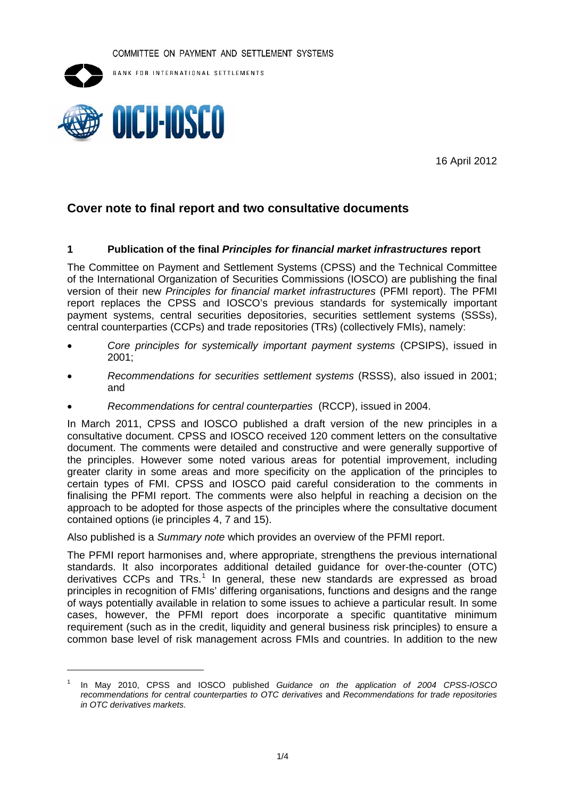COMMITTEE ON PAYMENT AND SETTLEMENT SYSTEMS



BANK FOR INTERNATIONAL SETTLEMENTS



16 April 2012

# **Cover note to final report and two consultative documents**

### **1 Publication of the final** *Principles for financial market infrastructures* **report**

The Committee on Payment and Settlement Systems (CPSS) and the Technical Committee of the International Organization of Securities Commissions (IOSCO) are publishing the final version of their new *Principles for financial market infrastructures* (PFMI report). The PFMI report replaces the CPSS and IOSCO's previous standards for systemically important payment systems, central securities depositories, securities settlement systems (SSSs), central counterparties (CCPs) and trade repositories (TRs) (collectively FMIs), namely:

- *Core principles for systemically important payment systems* (CPSIPS), issued in 2001;
- *Recommendations for securities settlement systems* (RSSS), also issued in 2001; and
- *Recommendations for central counterparties* (RCCP), issued in 2004.

In March 2011, CPSS and IOSCO published a draft version of the new principles in a consultative document. CPSS and IOSCO received 120 comment letters on the consultative document. The comments were detailed and constructive and were generally supportive of the principles. However some noted various areas for potential improvement, including greater clarity in some areas and more specificity on the application of the principles to certain types of FMI. CPSS and IOSCO paid careful consideration to the comments in finalising the PFMI report. The comments were also helpful in reaching a decision on the approach to be adopted for those aspects of the principles where the consultative document contained options (ie principles 4, 7 and 15).

Also published is a *Summary note* which provides an overview of the PFMI report.

The PFMI report harmonises and, where appropriate, strengthens the previous international standards. It also incorporates additional detailed guidance for over-the-counter (OTC) derivatives CCPs and TRs.<sup>[1](#page-0-0)</sup> In general, these new standards are expressed as broad principles in recognition of FMIs' differing organisations, functions and designs and the range of ways potentially available in relation to some issues to achieve a particular result. In some cases, however, the PFMI report does incorporate a specific quantitative minimum requirement (such as in the credit, liquidity and general business risk principles) to ensure a common base level of risk management across FMIs and countries. In addition to the new

<span id="page-0-0"></span><sup>1</sup> In May 2010, CPSS and IOSCO published *Guidance on the application of 2004 CPSS-IOSCO recommendations for central counterparties to OTC derivatives* and *Recommendations for trade repositories in OTC derivatives markets*.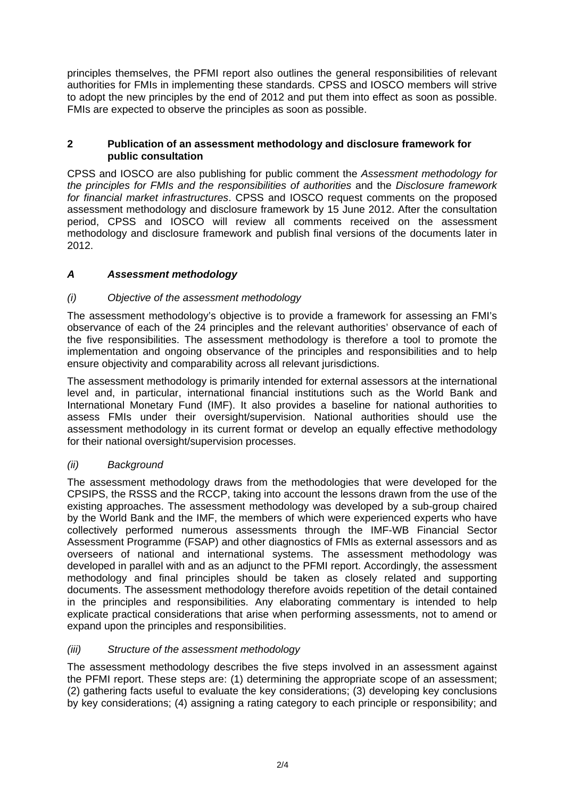principles themselves, the PFMI report also outlines the general responsibilities of relevant authorities for FMIs in implementing these standards. CPSS and IOSCO members will strive to adopt the new principles by the end of 2012 and put them into effect as soon as possible. FMIs are expected to observe the principles as soon as possible.

## **2 Publication of an assessment methodology and disclosure framework for public consultation**

CPSS and IOSCO are also publishing for public comment the *Assessment methodology for the principles for FMIs and the responsibilities of authorities* and the *Disclosure framework for financial market infrastructures*. CPSS and IOSCO request comments on the proposed assessment methodology and disclosure framework by 15 June 2012. After the consultation period, CPSS and IOSCO will review all comments received on the assessment methodology and disclosure framework and publish final versions of the documents later in 2012.

# *A Assessment methodology*

# *(i) Objective of the assessment methodology*

The assessment methodology's objective is to provide a framework for assessing an FMI's observance of each of the 24 principles and the relevant authorities' observance of each of the five responsibilities. The assessment methodology is therefore a tool to promote the implementation and ongoing observance of the principles and responsibilities and to help ensure objectivity and comparability across all relevant jurisdictions.

The assessment methodology is primarily intended for external assessors at the international level and, in particular, international financial institutions such as the World Bank and International Monetary Fund (IMF). It also provides a baseline for national authorities to assess FMIs under their oversight/supervision. National authorities should use the assessment methodology in its current format or develop an equally effective methodology for their national oversight/supervision processes.

# *(ii) Background*

The assessment methodology draws from the methodologies that were developed for the CPSIPS, the RSSS and the RCCP, taking into account the lessons drawn from the use of the existing approaches. The assessment methodology was developed by a sub-group chaired by the World Bank and the IMF, the members of which were experienced experts who have collectively performed numerous assessments through the IMF-WB Financial Sector Assessment Programme (FSAP) and other diagnostics of FMIs as external assessors and as overseers of national and international systems. The assessment methodology was developed in parallel with and as an adjunct to the PFMI report. Accordingly, the assessment methodology and final principles should be taken as closely related and supporting documents. The assessment methodology therefore avoids repetition of the detail contained in the principles and responsibilities. Any elaborating commentary is intended to help explicate practical considerations that arise when performing assessments, not to amend or expand upon the principles and responsibilities.

# *(iii) Structure of the assessment methodology*

The assessment methodology describes the five steps involved in an assessment against the PFMI report. These steps are: (1) determining the appropriate scope of an assessment; (2) gathering facts useful to evaluate the key considerations; (3) developing key conclusions by key considerations; (4) assigning a rating category to each principle or responsibility; and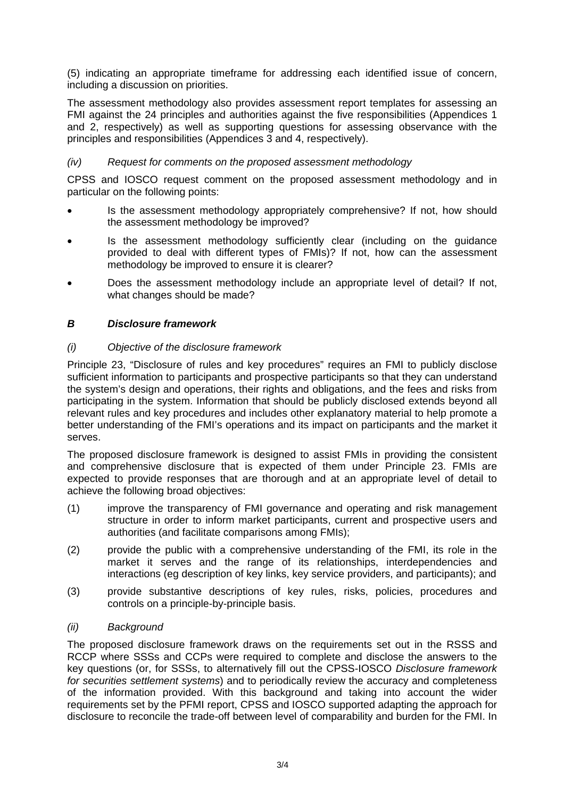(5) indicating an appropriate timeframe for addressing each identified issue of concern, including a discussion on priorities.

The assessment methodology also provides assessment report templates for assessing an FMI against the 24 principles and authorities against the five responsibilities (Appendices 1 and 2, respectively) as well as supporting questions for assessing observance with the principles and responsibilities (Appendices 3 and 4, respectively).

### *(iv) Request for comments on the proposed assessment methodology*

CPSS and IOSCO request comment on the proposed assessment methodology and in particular on the following points:

- Is the assessment methodology appropriately comprehensive? If not, how should the assessment methodology be improved?
- Is the assessment methodology sufficiently clear (including on the guidance provided to deal with different types of FMIs)? If not, how can the assessment methodology be improved to ensure it is clearer?
- Does the assessment methodology include an appropriate level of detail? If not, what changes should be made?

### *B Disclosure framework*

### *(i) Objective of the disclosure framework*

Principle 23, "Disclosure of rules and key procedures" requires an FMI to publicly disclose sufficient information to participants and prospective participants so that they can understand the system's design and operations, their rights and obligations, and the fees and risks from participating in the system. Information that should be publicly disclosed extends beyond all relevant rules and key procedures and includes other explanatory material to help promote a better understanding of the FMI's operations and its impact on participants and the market it serves.

The proposed disclosure framework is designed to assist FMIs in providing the consistent and comprehensive disclosure that is expected of them under Principle 23. FMIs are expected to provide responses that are thorough and at an appropriate level of detail to achieve the following broad objectives:

- (1) improve the transparency of FMI governance and operating and risk management structure in order to inform market participants, current and prospective users and authorities (and facilitate comparisons among FMIs);
- (2) provide the public with a comprehensive understanding of the FMI, its role in the market it serves and the range of its relationships, interdependencies and interactions (eg description of key links, key service providers, and participants); and
- (3) provide substantive descriptions of key rules, risks, policies, procedures and controls on a principle-by-principle basis.

### *(ii) Background*

The proposed disclosure framework draws on the requirements set out in the RSSS and RCCP where SSSs and CCPs were required to complete and disclose the answers to the key questions (or, for SSSs, to alternatively fill out the CPSS-IOSCO *Disclosure framework for securities settlement systems*) and to periodically review the accuracy and completeness of the information provided. With this background and taking into account the wider requirements set by the PFMI report, CPSS and IOSCO supported adapting the approach for disclosure to reconcile the trade-off between level of comparability and burden for the FMI. In